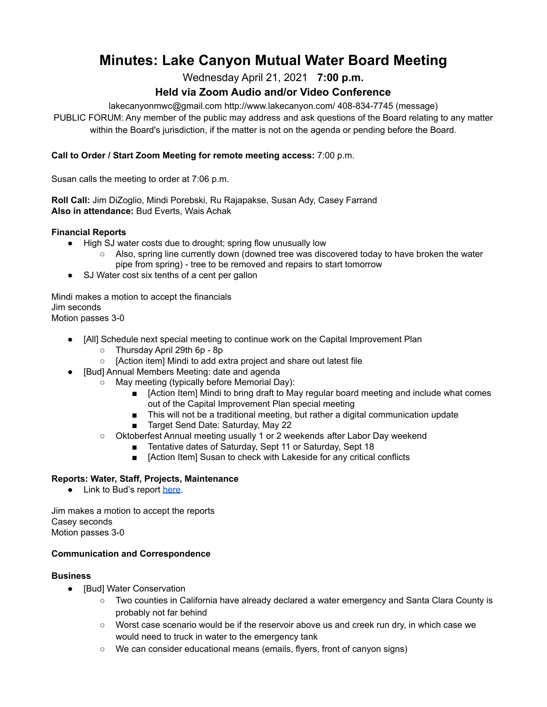# **Minutes: Lake Canyon Mutual Water Board Meeting**

Wednesday April 21, 2021 **7:00 p.m.**

## **Held via Zoom Audio and/or Video Conference**

lakecanyonmwc@gmail.com http://www.lakecanyon.com/ 408-834-7745 (message)

PUBLIC FORUM: Any member of the public may address and ask questions of the Board relating to any matter within the Board's jurisdiction, if the matter is not on the agenda or pending before the Board.

#### **Call to Order / Start Zoom Meeting for remote meeting access:** 7:00 p.m.

Susan calls the meeting to order at 7:06 p.m.

**Roll Call:** Jim DiZoglio, Mindi Porebski, Ru Rajapakse, Susan Ady, Casey Farrand **Also in attendance:** Bud Everts, Wais Achak

#### **Financial Reports**

- High SJ water costs due to drought; spring flow unusually low
	- Also, spring line currently down (downed tree was discovered today to have broken the water pipe from spring) - tree to be removed and repairs to start tomorrow
- SJ Water cost six tenths of a cent per gallon

Mindi makes a motion to accept the financials Jim seconds Motion passes 3-0

- [All] Schedule next special meeting to continue work on the Capital Improvement Plan
	- Thursday April 29th 6p 8p
	- [Action item] Mindi to add extra project and share out latest file
- [Bud] Annual Members Meeting: date and agenda
	- May meeting (typically before Memorial Day):
		- [Action Item] Mindi to bring draft to May regular board meeting and include what comes out of the Capital Improvement Plan special meeting
		- This will not be a traditional meeting, but rather a digital communication update
		- Target Send Date: Saturday, May 22
		- Oktoberfest Annual meeting usually 1 or 2 weekends after Labor Day weekend
			- Tentative dates of Saturday, Sept 11 or Saturday, Sept 18
			- [Action Item] Susan to check with Lakeside for any critical conflicts

## **Reports: Water, Staff, Projects, Maintenance**

● Link to Bud's report [here](https://7e761103-1889-4c62-a205-c99a02daa857.usrfiles.com/ugd/7e7611_1d4dad8694bb4fd687137a53476fe651.pdf).

Jim makes a motion to accept the reports Casey seconds Motion passes 3-0

#### **Communication and Correspondence**

#### **Business**

- [Bud] Water Conservation
	- Two counties in California have already declared a water emergency and Santa Clara County is probably not far behind
	- Worst case scenario would be if the reservoir above us and creek run dry, in which case we would need to truck in water to the emergency tank
	- We can consider educational means (emails, flyers, front of canyon signs)